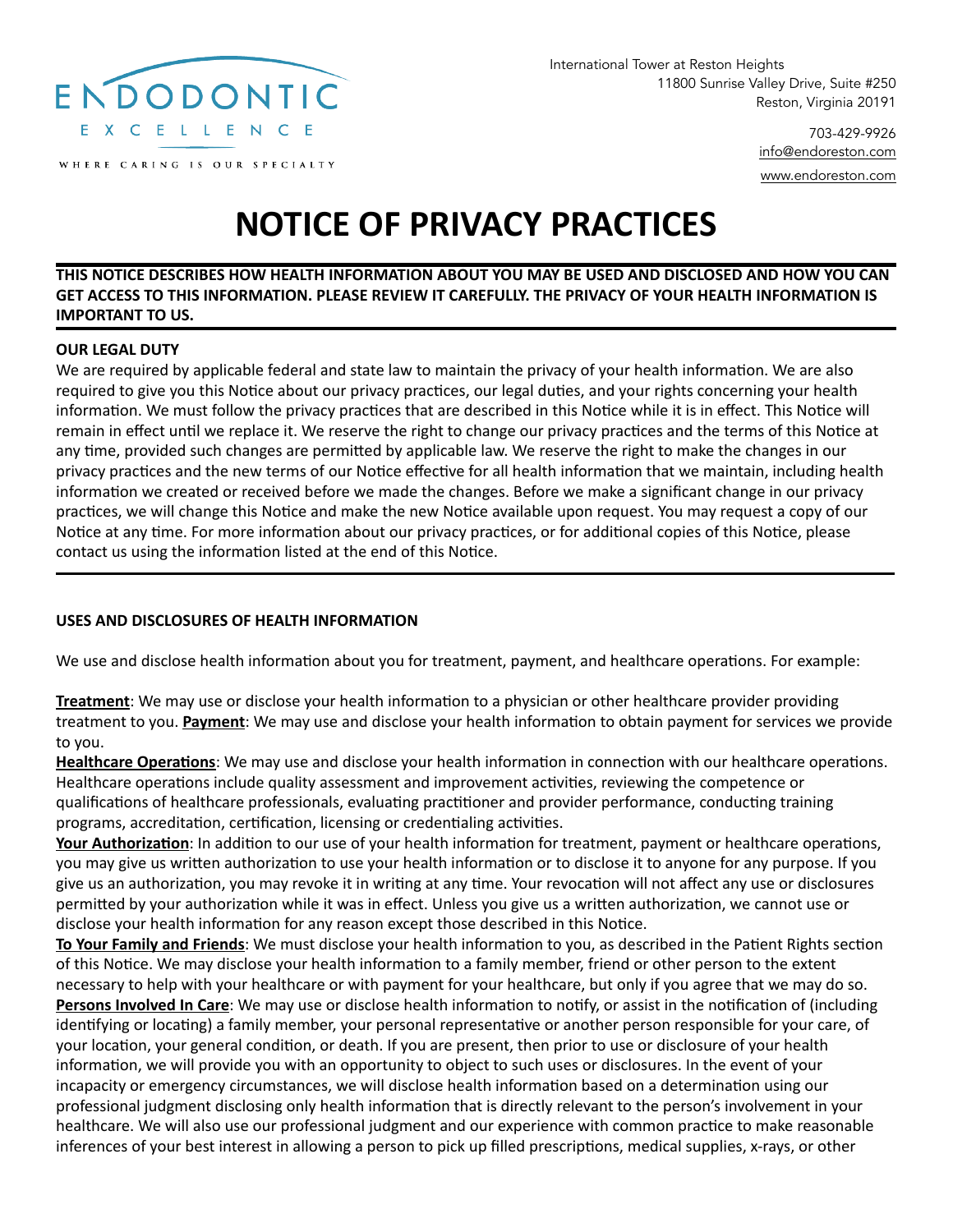

WHERE CARING IS OUR SPECIALTY

International Tower at Reston Heights 11800 Sunrise Valley Drive, Suite #250 Reston, Virginia 20191

> 703-429-9926 [info@endoreston.com](mailto:info@endoreston.com) [www.endoreston.com](http://www.endoreston.com)

# **NOTICE OF PRIVACY PRACTICES**

# **THIS NOTICE DESCRIBES HOW HEALTH INFORMATION ABOUT YOU MAY BE USED AND DISCLOSED AND HOW YOU CAN GET ACCESS TO THIS INFORMATION. PLEASE REVIEW IT CAREFULLY. THE PRIVACY OF YOUR HEALTH INFORMATION IS IMPORTANT TO US.**

#### **OUR LEGAL DUTY**

We are required by applicable federal and state law to maintain the privacy of your health information. We are also required to give you this Notice about our privacy practices, our legal duties, and your rights concerning your health information. We must follow the privacy practices that are described in this Notice while it is in effect. This Notice will remain in effect until we replace it. We reserve the right to change our privacy practices and the terms of this Notice at any time, provided such changes are permitted by applicable law. We reserve the right to make the changes in our privacy practices and the new terms of our Notice effective for all health information that we maintain, including health information we created or received before we made the changes. Before we make a significant change in our privacy practices, we will change this Notice and make the new Notice available upon request. You may request a copy of our Notice at any time. For more information about our privacy practices, or for additional copies of this Notice, please contact us using the information listed at the end of this Notice.

# **USES AND DISCLOSURES OF HEALTH INFORMATION**

We use and disclose health information about you for treatment, payment, and healthcare operations. For example:

**Treatment**: We may use or disclose your health information to a physician or other healthcare provider providing treatment to you. **Payment**: We may use and disclose your health information to obtain payment for services we provide to you.

**Healthcare Operations**: We may use and disclose your health information in connection with our healthcare operations. Healthcare operations include quality assessment and improvement activities, reviewing the competence or qualifications of healthcare professionals, evaluating practitioner and provider performance, conducting training programs, accreditation, certification, licensing or credentialing activities.

**Your Authorization**: In addition to our use of your health information for treatment, payment or healthcare operations, you may give us written authorization to use your health information or to disclose it to anyone for any purpose. If you give us an authorization, you may revoke it in writing at any time. Your revocation will not affect any use or disclosures permitted by your authorization while it was in effect. Unless you give us a written authorization, we cannot use or disclose your health information for any reason except those described in this Notice.

**To Your Family and Friends**: We must disclose your health information to you, as described in the Patient Rights section of this Notice. We may disclose your health information to a family member, friend or other person to the extent necessary to help with your healthcare or with payment for your healthcare, but only if you agree that we may do so. **Persons Involved In Care**: We may use or disclose health information to notify, or assist in the notification of (including identifying or locating) a family member, your personal representative or another person responsible for your care, of your location, your general condition, or death. If you are present, then prior to use or disclosure of your health information, we will provide you with an opportunity to object to such uses or disclosures. In the event of your incapacity or emergency circumstances, we will disclose health information based on a determination using our professional judgment disclosing only health information that is directly relevant to the person's involvement in your healthcare. We will also use our professional judgment and our experience with common practice to make reasonable inferences of your best interest in allowing a person to pick up filled prescriptions, medical supplies, x-rays, or other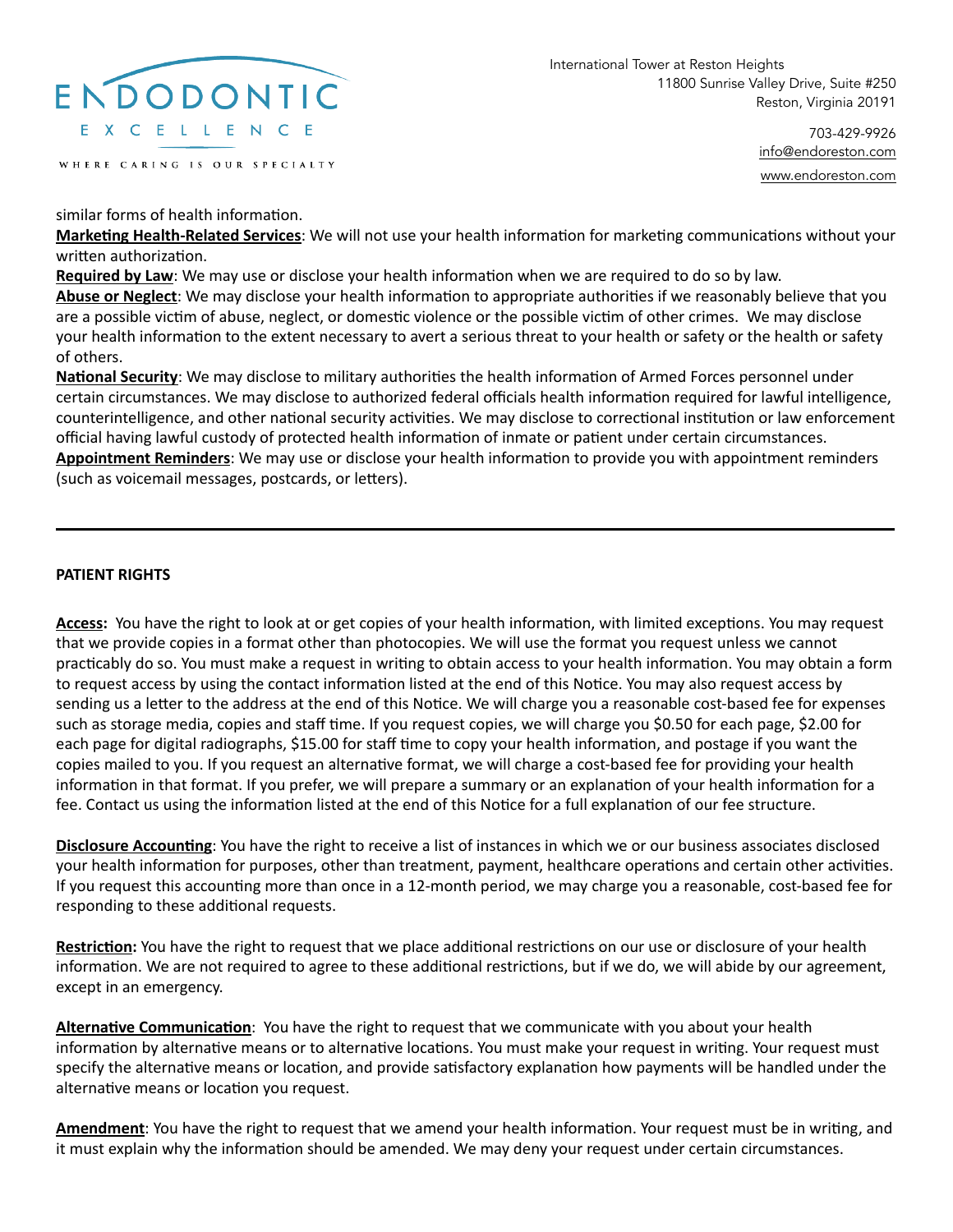

WHERE CARING IS OUR SPECIALTY

International Tower at Reston Heights 11800 Sunrise Valley Drive, Suite #250 Reston, Virginia 20191

> 703-429-9926 [info@endoreston.com](mailto:info@endoreston.com) [www.endoreston.com](http://www.endoreston.com)

similar forms of health information.

**Marketing Health-Related Services**: We will not use your health information for marketing communications without your written authorization.

**Required by Law**: We may use or disclose your health information when we are required to do so by law.

**Abuse or Neglect**: We may disclose your health information to appropriate authorities if we reasonably believe that you are a possible victim of abuse, neglect, or domestic violence or the possible victim of other crimes. We may disclose your health information to the extent necessary to avert a serious threat to your health or safety or the health or safety of others.

**National Security**: We may disclose to military authorities the health information of Armed Forces personnel under certain circumstances. We may disclose to authorized federal officials health information required for lawful intelligence, counterintelligence, and other national security activities. We may disclose to correctional institution or law enforcement official having lawful custody of protected health information of inmate or patient under certain circumstances. **Appointment Reminders**: We may use or disclose your health information to provide you with appointment reminders (such as voicemail messages, postcards, or letters).

### **PATIENT RIGHTS**

**Access:** You have the right to look at or get copies of your health information, with limited exceptions. You may request that we provide copies in a format other than photocopies. We will use the format you request unless we cannot practicably do so. You must make a request in writing to obtain access to your health information. You may obtain a form to request access by using the contact information listed at the end of this Notice. You may also request access by sending us a letter to the address at the end of this Notice. We will charge you a reasonable cost-based fee for expenses such as storage media, copies and staff time. If you request copies, we will charge you \$0.50 for each page, \$2.00 for each page for digital radiographs, \$15.00 for staff time to copy your health information, and postage if you want the copies mailed to you. If you request an alternative format, we will charge a cost-based fee for providing your health information in that format. If you prefer, we will prepare a summary or an explanation of your health information for a fee. Contact us using the information listed at the end of this Notice for a full explanation of our fee structure.

**Disclosure Accounting**: You have the right to receive a list of instances in which we or our business associates disclosed your health information for purposes, other than treatment, payment, healthcare operations and certain other activities. If you request this accounting more than once in a 12-month period, we may charge you a reasonable, cost-based fee for responding to these additional requests.

**Restriction:** You have the right to request that we place additional restrictions on our use or disclosure of your health information. We are not required to agree to these additional restrictions, but if we do, we will abide by our agreement, except in an emergency.

**Alternative Communication**: You have the right to request that we communicate with you about your health information by alternative means or to alternative locations. You must make your request in writing. Your request must specify the alternative means or location, and provide satisfactory explanation how payments will be handled under the alternative means or location you request.

**Amendment**: You have the right to request that we amend your health information. Your request must be in writing, and it must explain why the information should be amended. We may deny your request under certain circumstances.